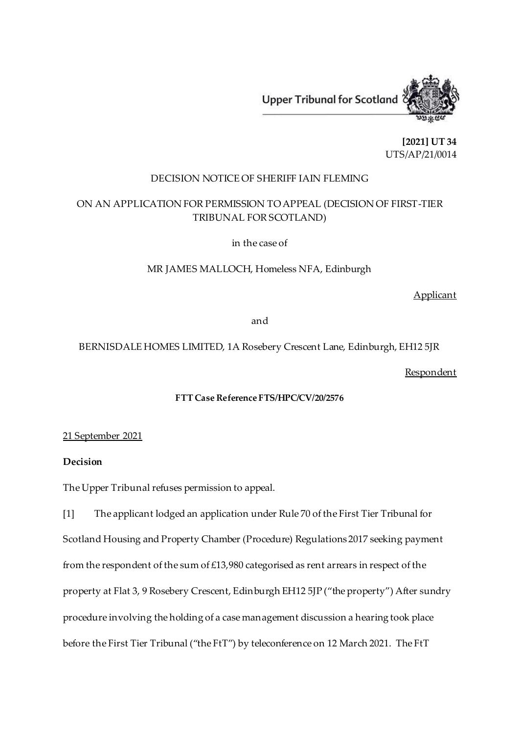

**[2021] UT 34** UTS/AP/21/0014

## DECISION NOTICE OF SHERIFF IAIN FLEMING

## ON AN APPLICATION FOR PERMISSION TO APPEAL (DECISION OF FIRST-TIER TRIBUNAL FOR SCOTLAND)

in the case of

MR JAMES MALLOCH, Homeless NFA, Edinburgh

Applicant

and

BERNISDALE HOMES LIMITED, 1A Rosebery Crescent Lane, Edinburgh, EH12 5JR

Respondent

## **FTT Case Reference FTS/HPC/CV/20/2576**

21 September 2021

## **Decision**

The Upper Tribunal refuses permission to appeal.

[1] The applicant lodged an application under Rule 70 of the First Tier Tribunal for Scotland Housing and Property Chamber (Procedure) Regulations 2017 seeking payment from the respondent of the sum of £13,980 categorised as rent arrears in respect of the property at Flat 3, 9 Rosebery Crescent, Edinburgh EH12 5JP ("the property") After sundry procedure involving the holding of a case management discussion a hearing took place before the First Tier Tribunal ("the FtT") by teleconference on 12 March 2021. The FtT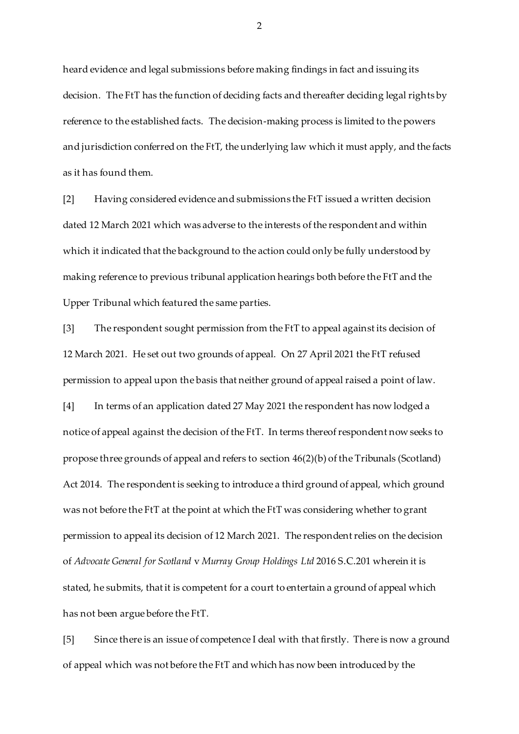heard evidence and legal submissions before making findings in fact and issuing its decision. The FtT has the function of deciding facts and thereafter deciding legal rights by reference to the established facts. The decision-making process is limited to the powers and jurisdiction conferred on the FtT, the underlying law which it must apply, and the facts as it has found them.

[2] Having considered evidence and submissions the FtT issued a written decision dated 12 March 2021 which was adverse to the interests of the respondent and within which it indicated that the background to the action could only be fully understood by making reference to previous tribunal application hearings both before the FtT and the Upper Tribunal which featured the same parties.

[3] The respondent sought permission from the FtT to appeal against its decision of 12 March 2021. He set out two grounds of appeal. On 27 April 2021 the FtT refused permission to appeal upon the basis that neither ground of appeal raised a point of law. [4] In terms of an application dated 27 May 2021 the respondent has now lodged a notice of appeal against the decision of the FtT. In terms thereof respondent now seeks to propose three grounds of appeal and refers to section 46(2)(b) of the Tribunals (Scotland) Act 2014. The respondent is seeking to introduce a third ground of appeal, which ground was not before the FtT at the point at which the FtT was considering whether to grant permission to appeal its decision of 12 March 2021. The respondent relies on the decision of *Advocate General for Scotland* v *Murray Group Holdings Ltd* 2016 S.C.201 wherein it is stated, he submits, that it is competent for a court to entertain a ground of appeal which has not been argue before the FtT.

[5] Since there is an issue of competence I deal with that firstly. There is now a ground of appeal which was not before the FtT and which has now been introduced by the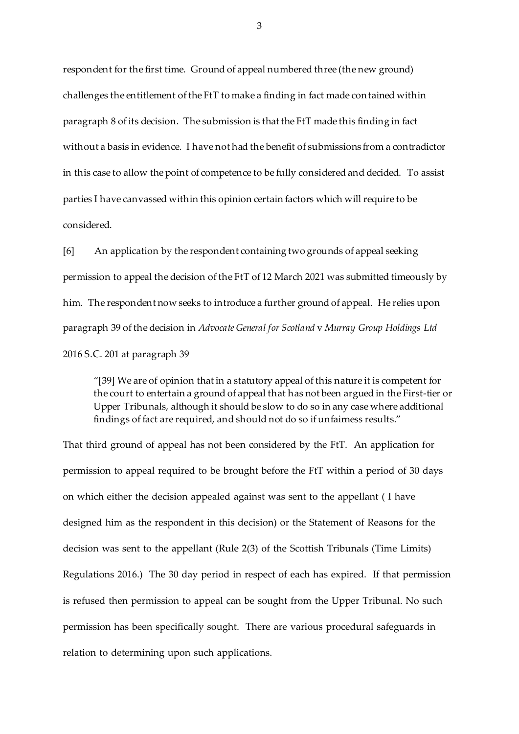respondent for the first time. Ground of appeal numbered three (the new ground) challenges the entitlement of the FtT to make a finding in fact made contained within paragraph 8 of its decision. The submission is that the FtT made this finding in fact without a basis in evidence. I have not had the benefit of submissions from a contradictor in this case to allow the point of competence to be fully considered and decided. To assist parties I have canvassed within this opinion certain factors which will require to be considered.

[6] An application by the respondent containing two grounds of appeal seeking permission to appeal the decision of the FtT of 12 March 2021 was submitted timeously by him. The respondent now seeks to introduce a further ground of appeal. He relies upon paragraph 39 of the decision in *Advocate General for Scotland* v *Murray Group Holdings Ltd* 2016 S.C. 201 at paragraph 39

"[39] We are of opinion that in a statutory appeal of this nature it is competent for the court to entertain a ground of appeal that has not been argued in the First-tier or Upper Tribunals, although it should be slow to do so in any case where additional findings of fact are required, and should not do so if unfairness results."

That third ground of appeal has not been considered by the FtT. An application for permission to appeal required to be brought before the FtT within a period of 30 days on which either the decision appealed against was sent to the appellant ( I have designed him as the respondent in this decision) or the Statement of Reasons for the decision was sent to the appellant (Rule 2(3) of the Scottish Tribunals (Time Limits) Regulations 2016.) The 30 day period in respect of each has expired. If that permission is refused then permission to appeal can be sought from the Upper Tribunal. No such permission has been specifically sought. There are various procedural safeguards in relation to determining upon such applications.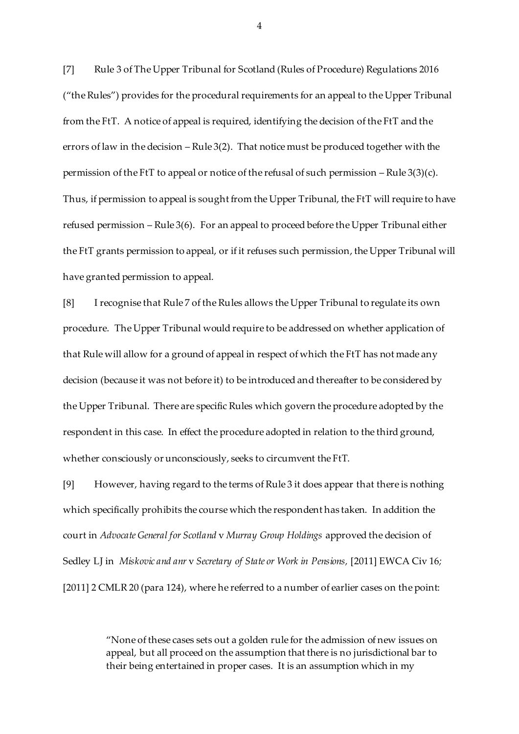[7] Rule 3 of The Upper Tribunal for Scotland (Rules of Procedure) Regulations 2016 ("the Rules") provides for the procedural requirements for an appeal to the Upper Tribunal from the FtT. A notice of appeal is required, identifying the decision of the FtT and the errors of law in the decision – Rule 3(2). That notice must be produced together with the permission of the FtT to appeal or notice of the refusal of such permission – Rule 3(3)(c). Thus, if permission to appeal is sought from the Upper Tribunal, the FtT will require to have refused permission – Rule 3(6). For an appeal to proceed before the Upper Tribunal either the FtT grants permission to appeal, or if it refuses such permission, the Upper Tribunal will have granted permission to appeal.

[8] I recognise that Rule 7 of the Rules allows the Upper Tribunal to regulate its own procedure. The Upper Tribunal would require to be addressed on whether application of that Rule will allow for a ground of appeal in respect of which the FtT has not made any decision (because it was not before it) to be introduced and thereafter to be considered by the Upper Tribunal. There are specific Rules which govern the procedure adopted by the respondent in this case. In effect the procedure adopted in relation to the third ground, whether consciously or unconsciously, seeks to circumvent the FtT.

[9] However, having regard to the terms of Rule 3 it does appear that there is nothing which specifically prohibits the course which the respondent has taken. In addition the court in *Advocate General for Scotland* v *Murray Group Holdings* approved the decision of Sedley LJ in *Miskovic and anr* v *Secretary of State or Work in Pensions,* [2011] EWCA Civ 16*;* [2011] 2 CMLR 20 (para 124), where he referred to a number of earlier cases on the point:

> "None of these cases sets out a golden rule for the admission of new issues on appeal, but all proceed on the assumption that there is no jurisdictional bar to their being entertained in proper cases. It is an assumption which in my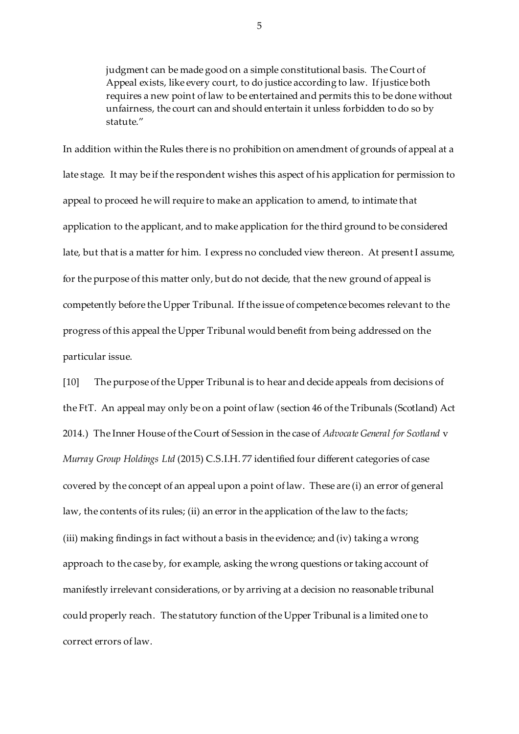judgment can be made good on a simple constitutional basis. The Court of Appeal exists, like every court, to do justice according to law. If justice both requires a new point of law to be entertained and permits this to be done without unfairness, the court can and should entertain it unless forbidden to do so by statute"

In addition within the Rules there is no prohibition on amendment of grounds of appeal at a late stage. It may be if the respondent wishes this aspect of his application for permission to appeal to proceed he will require to make an application to amend, to intimate that application to the applicant, and to make application for the third ground to be considered late, but that is a matter for him. I express no concluded view thereon. At present I assume, for the purpose of this matter only, but do not decide, that the new ground of appeal is competently before the Upper Tribunal. If the issue of competence becomes relevant to the progress of this appeal the Upper Tribunal would benefit from being addressed on the particular issue.

[10] The purpose of the Upper Tribunal is to hear and decide appeals from decisions of the FtT. An appeal may only be on a point of law (section 46 of the Tribunals (Scotland) Act 2014.) The Inner House of the Court of Session in the case of *Advocate General for Scotland* v *Murray Group Holdings Ltd* (2015) C.S.I.H. 77 identified four different categories of case covered by the concept of an appeal upon a point of law. These are (i) an error of general law, the contents of its rules; (ii) an error in the application of the law to the facts; (iii) making findings in fact without a basis in the evidence; and (iv) taking a wrong approach to the case by, for example, asking the wrong questions or taking account of manifestly irrelevant considerations, or by arriving at a decision no reasonable tribunal could properly reach. The statutory function of the Upper Tribunal is a limited one to correct errors of law.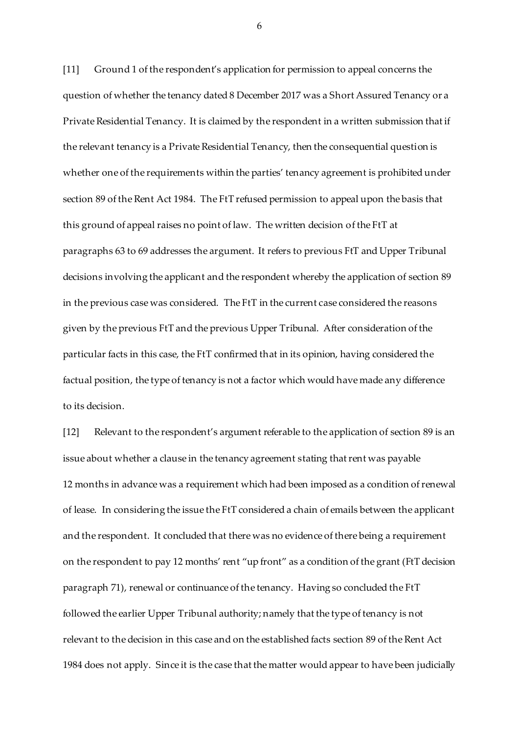[11] Ground 1 of the respondent's application for permission to appeal concerns the question of whether the tenancy dated 8 December 2017 was a Short Assured Tenancy or a Private Residential Tenancy. It is claimed by the respondent in a written submission that if the relevant tenancy is a Private Residential Tenancy, then the consequential question is whether one of the requirements within the parties' tenancy agreement is prohibited under section 89 of the Rent Act 1984. The FtT refused permission to appeal upon the basis that this ground of appeal raises no point of law. The written decision of the FtT at paragraphs 63 to 69 addresses the argument. It refers to previous FtT and Upper Tribunal decisions involving the applicant and the respondent whereby the application of section 89 in the previous case was considered. The FtT in the current case considered the reasons given by the previous FtT and the previous Upper Tribunal. After consideration of the particular facts in this case, the FtT confirmed that in its opinion, having considered the factual position, the type of tenancy is not a factor which would have made any difference to its decision.

[12] Relevant to the respondent's argument referable to the application of section 89 is an issue about whether a clause in the tenancy agreement stating that rent was payable 12 months in advance was a requirement which had been imposed as a condition of renewal of lease. In considering the issue the FtT considered a chain of emails between the applicant and the respondent. It concluded that there was no evidence of there being a requirement on the respondent to pay 12 months' rent "up front" as a condition of the grant (FtT decision paragraph 71), renewal or continuance of the tenancy. Having so concluded the FtT followed the earlier Upper Tribunal authority; namely that the type of tenancy is not relevant to the decision in this case and on the established facts section 89 of the Rent Act 1984 does not apply. Since it is the case that the matter would appear to have been judicially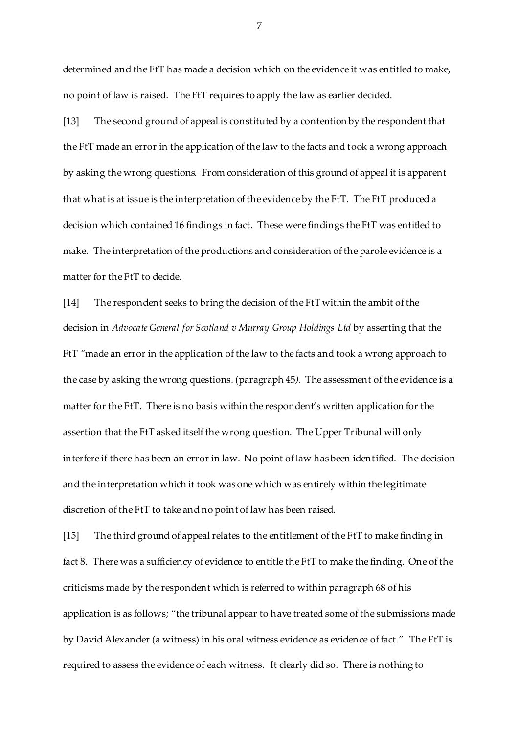determined and the FtT has made a decision which on the evidence it was entitled to make, no point of law is raised. The FtT requires to apply the law as earlier decided.

[13] The second ground of appeal is constituted by a contention by the respondent that the FtT made an error in the application of the law to the facts and took a wrong approach by asking the wrong questions. From consideration of this ground of appeal it is apparent that what is at issue is the interpretation of the evidence by the FtT. The FtT produced a decision which contained 16 findings in fact. These were findings the FtT was entitled to make. The interpretation of the productions and consideration of the parole evidence is a matter for the FtT to decide.

[14] The respondent seeks to bring the decision of the FtT within the ambit of the decision in *Advocate General for Scotland v Murray Group Holdings Ltd* by asserting that the FtT *"*made an error in the application of the law to the facts and took a wrong approach to the case by asking the wrong questions*.* (paragraph 45*).* The assessment of the evidence is a matter for the FtT. There is no basis within the respondent's written application for the assertion that the FtT asked itself the wrong question. The Upper Tribunal will only interfere if there has been an error in law. No point of law has been identified. The decision and the interpretation which it took was one which was entirely within the legitimate discretion of the FtT to take and no point of law has been raised.

[15] The third ground of appeal relates to the entitlement of the FtT to make finding in fact 8. There was a sufficiency of evidence to entitle the FtT to make the finding. One of the criticisms made by the respondent which is referred to within paragraph 68 of his application is as follows; "the tribunal appear to have treated some of the submissions made by David Alexander (a witness) in his oral witness evidence as evidence of fact." The FtT is required to assess the evidence of each witness. It clearly did so. There is nothing to